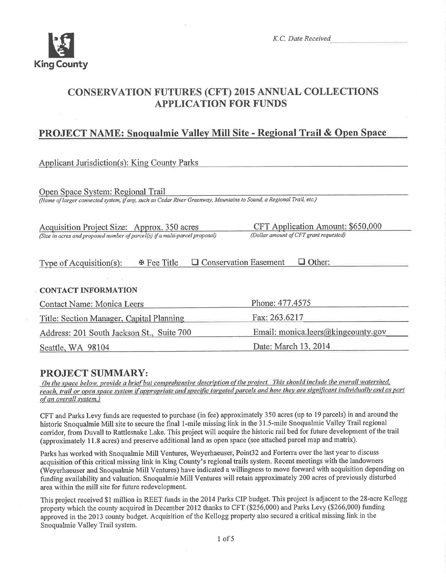

K.C. Date Received

# **CONSERVATION FUTURES (CFT) 2015 ANNUAL COLLECTIONS APPLICATION FOR FUNDS**

## **PROJECT NAME: Snoqualmie Valley Mill Site - Regional Trail & Open Space**

| <b>Applicant Jurisdiction(s): King County Parks</b>                                                                                                      |                                                                             |
|----------------------------------------------------------------------------------------------------------------------------------------------------------|-----------------------------------------------------------------------------|
| Open Space System: Regional Trail<br>(Name of larger connected system, if any, such as Cedar River Greenway, Mountains to Sound, a Regional Trail, etc.) |                                                                             |
| Acquisition Project Size: Approx. 350 acres<br>(Size in acres and proposed number of parcel(s) if a multi-parcel proposal)                               | CFT Application Amount: \$650,000<br>(Dollar amount of CFT grant requested) |
| <b>E</b> Fee Title<br>Type of Acquisition(s):                                                                                                            | $\Box$ Other:<br><b>Conservation Easement</b>                               |
| <b>CONTACT INFORMATION</b>                                                                                                                               |                                                                             |
| Contact Name: Monica Leers                                                                                                                               | Phone: 477.4575                                                             |
| Title: Section Manager, Capital Planning                                                                                                                 | Fax: 263.6217                                                               |
| Address: 201 South Jackson St., Suite 700                                                                                                                | Email: monica.leers@kingcounty.gov                                          |
| Seattle, WA 98104                                                                                                                                        | Date: March 13, 2014                                                        |

## PROJECT SUMMARY:

(In the space below, provide a brief but comprehensive description of the project. This should include the overall watershed, reach, trail or open space system if appropriate and specific targeted parcels and how they are significant individually and as part of an overall system.)

CFT and Parks Levy funds are requested to purchase (in fee) approximately 350 acres (up to 19 parcels) in and around the historic Snoqualmie Mill site to secure the final 1-mile missing link in the 31.5-mile Snoqualmie Valley Trail regional corridor, from Duvall to Rattlesnake Lake. This project will acquire the historic rail bed for future development of the trail (approximately 11.8 acres) and preserve additional land as open space (see attached parcel map and matrix).

Parks has worked with Snoqualmie Mill Ventures, Weyerhaeuser, Point32 and Forterra over the last year to discuss acquisition of this critical missing link in King County's regional trails system. Recent meetings with the landowners (Weyerhaeuser and Snoqualmie Mill Ventures) have indicated a willingness to move forward with acquisition depending on funding availability and valuation. Snoqualmie Mill Ventures will retain approximately 200 acres of previously disturbed area within the mill site for future redevelopment.

This project received \$1 million in REET funds in the 2014 Parks CIP budget. This project is adjacent to the 28-acre Kellogg property which the county acquired in December 2012 thanks to CFT (\$256,000) and Parks Levy (\$266,000) funding approved in the 2013 county budget. Acquisition of the Kellogg property also secured a critical missing link in the Snoqualmie Valley Trail system.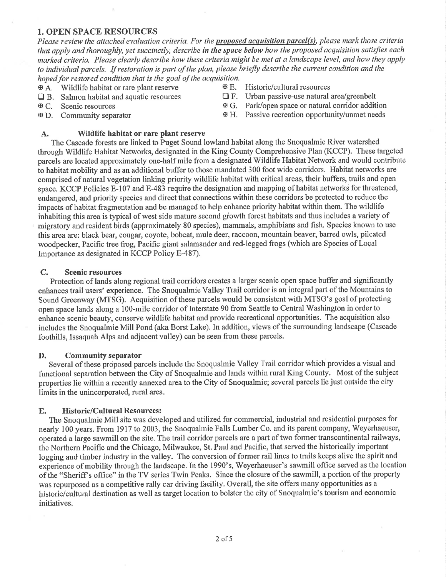#### 1. OPEN SPACE RESOURCES

Please review the attached evaluation criteria. For the proposed acquisition parcel(s), please mark those criteria that apply and thoroughly, yet succinctly, describe in the space below how the proposed acquisition satisfies each marked criteria. Please clearly describe how these criteria might be met at a landscape level, and how they apply to individual parcels. If restoration is part of the plan, please briefly describe the current condition and the hoped for restored condition that is the goal of the acquisition.

- $A.$  Wildlife habitat or rare plant reserve<br>  $B.$  Historic/cultural resources<br>  $B.$  Salmon habitat and aquatic resources<br>  $C.$  Urban passive-use natural area/greenbelt
- **Q B.** Salmon habitat and aquatic resources  $\Box$  F.<br>  $\mathcal{F}$  C. Scenic resources  $\mathcal{F}$  G.
- 
- 
- 

- 
- $\mathfrak{B}$  C. Scenic resources  $\mathfrak{B}$  G. Park/open space or natural corridor addition
- **EX** D. Community separator **XX** H. Passive recreation opportunity/unmet needs

#### A. Wildlife habitat or rare plant reserve

The Cascade forests are linked to Puget Sound lowland habitat along the Snoqualmie River watershed through Wildlife Habitat Networks, designated in the King County Comprehensive Plan (KCCP). These targeted parcels are located approximately one-half mile from a designated Wildlife Habitat Network and would contribute to habitat mobility and as an additional buffer to those mandated 300 foot wide corridors. Habitat networks are comprised of natural vegetation linking priority wildlife habitat with critical areas, theit buffers, trails and open space. KCCP Policies B-107 and E-483 require the designation and mapping of habitat networks for threatened, endangered, and priority species and direct that connections within these coridors be protected to reduce the impacts of habitat fragmentation and be managed to help enhance priority habitat within them. The wildlife inhabiting this area is typical of west side mature second giowth forest habitats and thus includes a variety of migratory and resident birds (approximately 80 species), mammals, amphibians and fish. Species known to use this area are: black bear, cougar, coyote, bobcat, mule deer, raccoon, mountain beaver, barred owls, pileated woodpecker, Pacific tree frog, Pacific giant salamander and red-legged frogs (which are Species of Local Importance as designated in KCCP Policy E-487).

#### C. Scenic resources

Protection of lands along regional trail corridors creates a larger scenic open space buffer and significantly enhances trail users' experience. The Snoqualmie Valley Trail corridor is an integral part of the Mountains to Sound Greenway (MTSG). Acquisition of these parcels would be consistent with MTSG's goal of protecting open space lands along a 100-mile corridor of Interstate 90 from Seattle to Central Washington in order to enhance scenic beauty, conserve wildlife habitat and provide recreational opportunities. The acquisition also includes the Snoqualmie Mill Pond (aka Borst Lake). In addition, views of the surrounding landscape (Cascade foothills, Issaquah Alps and adjacent valley) can be seen from these parcels.

#### D. Community separator

Several of these proposed parcels include the Snoqualmie Valley Trail corridor which provides a visual and functional separation between the City of Snoqualmie and lands within rural King County. Most of the subject properties lie within a recently annexed area to the City of Snoqualmie; several parcels lie just outside the city limits in the unincorporated, rural area.

#### E. Historic/Cultural Resources:

The Snoqualmie Mill site was developed and utilized for commercial, industrial and residential purposes for nearly 100 years. From l9l7 to 2003, the Snoqualmie Falls Lumber Co. and its parent company, Weyerhaeuser, operated a large sawmill on the site. The trail corridor parcels are a part of two former transcontinental railways, the Northern Pacific and the Chicago, Milwaukee, St. Paul and Pacific, that served the historically important logging and timber industry in the valley. The conversion of former rail lines to trails keeps alive the spirit and experience of mobility through the landscape. In the 1990's, Weyerhaeuser's sawmill office served as the location of the "Sheriffls office" in the TV series Twin Peaks. Since the closure of the sawmill, a portion of the property was repurposed as a competitive rally car driving facility. Overall, the site offers many opportunities as a historic/cultural destination as well as target location to bolster the city of Snoqualmie's tourism and economic initiatives.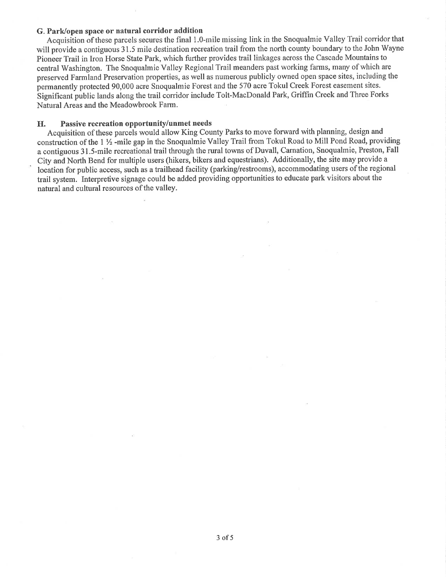#### G. Park/open space or natural corridor addition

Acquisition of these parcels secures the final 1.O-mile missing link in the Snoqualmie Valley Trail corridor that will provide a contiguous 31.5 mile destination recreation trail from the north county boundary to the John Wayne Pioneer Trail in Iron Horse State Park, which further provides trail linkages across the Cascade Mountains to central Washington. The Snoquahnie Valley Regional Trail meanders past working farms, many of which are preserved Farmland Preservation properties, as well as numerous publicly owned open space sites, including the permanentþ protected 90,000 acre Snoqualmie Forest and the 570 acre Tokul Creek Forest easement sites. Significant public lands along the trail corridor include Tolt-MacDonald Park, Griffin Creek and Three Forks Natural Areas and the Meadowbrook Farm.

#### H. Passive recreation opportunity/unmet needs

Acquisition of these parcels would allow King County Parks to move forward with planning, design and construction of the 1  $\frac{1}{2}$  -mile gap in the Snoqualmie Valley Trail from Tokul Road to Mill Pond Road, providing a contiguous <sup>3</sup>1 .5-mile recreational trail through the rural towns of Duvall, Carnation, Snoqualmie, Preston, Fall City and North Bend for multiple users (hikers, bikers and equestrians). Additionally, the site may provide a location for publio access, such as a trailhead facility (parking/restrooms), accommodating users of the regional trail system. Interpretive signage could be added providing opportunities to educate park visitors about the natural and cultural resources of the valley.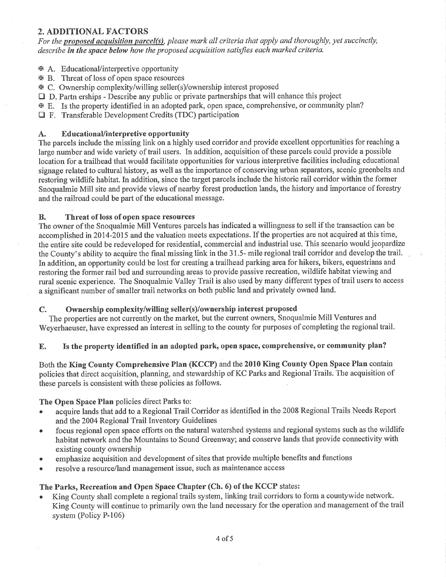## 2. ADDITIONAL FACTORS

For the proposed acquisition parcel(s), please mark all criteria that apply and thoroughly, yet succinctly, describe in the space below how the proposed acquisition satisfies each marked criteria.

- **A.** Educational/interpretive opportunity
- **EX B.** Threat of loss of open space resources
- xc. Ownership complexity/willing seller(s)/ownership interest proposed
- $\Box$  D. Partn erships Describe any public or private partnerships that will enhance this project
- E. Is the property identified in an adopted park, open space, comprehensive, or community plan?
- $\Box$  F. Transferable Development Credits (TDC) participation

#### A. Educational/interpretive opportunity

The parcels include the missing link on a highly used corridor and provide excellent opportunities for reaching a large number and wide variety of trail users. In addition, acquisition of these parcels could provide a possible location for a trailhead that would facilitate opportunities for various interpretive facilities including educational signage related to cultural history, as well as the importance of conserving urban separators, scenic greenbelts and restoring wildlife habitat. In addition, since the target parcels include the historic rail corridor within the former Snoqualmie Mill site and provide views of nearby forest production lands, the history and importance of forestry and the railroad could be part of the educational message.

#### B. Threat of loss of open space resources

The owner of the Snoqualmie Mill Ventures parcels has indicated a willingness to sell if the transaction can be accomplished in 2014-2015 and the valuation meets expectations. If the properties are not acquired at this time, the entire site could be redeveloped for residential, commercial and industrial use. This scenario would jeopardize the County's ability to acquire the final missing link in the 31.5- mile regional trail corridor and develop the trail. In addition, an opportunity could be lost for creating a trailhead parking area for hikers, bikers, equestrians and restoring the former rail bed and surounding areas to provide passive recreation, wildlife habitat viewing and rural scenic experience. The Snoqualmie Valley Trail is also used by many different types of trail users to access a significant number of smaller trail networks on both public land and privately owned land.

#### C. Ownership complexity/willing seller(s)/ownership interest proposed

The properties are not currently on the market, but the current owners, Snoqualmie Mill Ventures and Weyerhaeuser, have expressed an interest in selling to the county for purposes of completing the regional trail.

### E. Is the property identified in an adopted park, open space, comprehensive, or community plan?

Both the King County Comprehensive Plan (KCCP) and the 2010 King County Open Space Plan contain policies that direct acquisition, planning, and stewardship of KC Parks and Regional Trails. The acquisition of these parcels is consistent with these policies as follows.

#### The Open Space Plan policies direct Parks to:

- . acquire lands that add to a Regional Trail Corridor as identified in the 2008 Regional Trails Needs Report and the 2004 Regional Trail Inventory Guidelines
- focus regional open space efforts on the natural watershed systems and regional systems such as the wildlife habitat network and the Mountains to Sound Greenway; and conserye lands that provide connectivity with existing county ownership
- . emphasize acquisition and development of sites that provide multiple benefits and functions
- resolve a resource/land management issue, such as maintenance access

### The Parks, Recreation and Open Space Chapter (Ch. 6) of the KCCP states:

. King County shall complete a regional trails system, linking trail corridors to form a countywide network. King County will continue to primarily own the land necessary for the operation and management of the trail system (Policy P-106)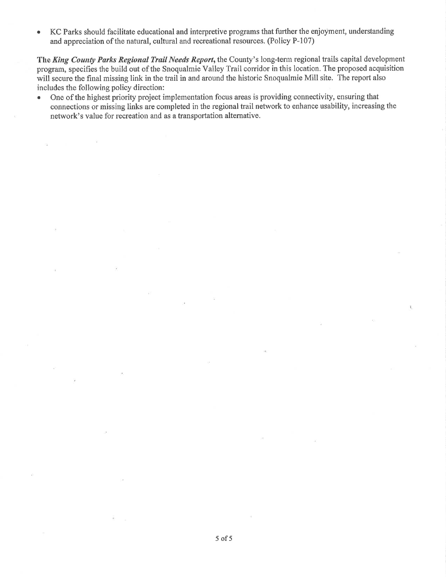<sup>a</sup> KC Parks should facilitate educational and interpretive programs that further the enjoyment, understanding and appreciation of the natural, cultural and recreational resources. (Policy P-107)

The King County Parks Regional Trail Needs Report, the County's long-term regional trails capital development prograrn, specifies the build out of the Snoqualmie Valley Trail coridor in this location. The proposed acquisition will secure the final missing link in the trail in and around the historic Snoqualmie Mill site. The report also includes the following policy direction:

• One of the highest priority project implementation focus areas is providing connectivity, ensuring that connections or missing links are completed in the regional trail network to enhance usability, increasing the network's value for recreation and as a transportation altemative.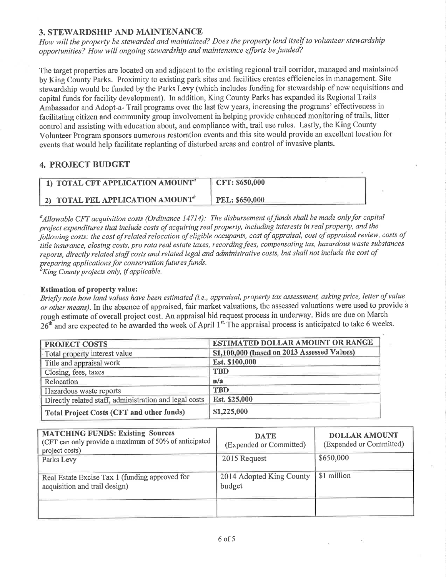## 3. STEWARDSHIP AND MAINTENANCE

How will the property be stewarded and maintained? Does the property lend itself to volunteer stewardship opportunities? How will ongoing stewardship and maintenance efforts be funded?

The target properties are located on and adjacent to the existing regional trail corridor, managed and maintained by King County Parks. Proximity to existing park sites and facilities creates efficiencies in management. Site stewardship would be funded by the Parks Levy (which includes funding for stewardship of new acquisitions and capital funds for facility development). In addition, King County Parks has expanded its Regional Trails Ambassador and Adopt-a- Trail programs over the last few years, increasing the programs' effectiveness in facilitating citizen and community group involvement in helping provide enhanced monitoring of trails, litter control and assisting with education about, and compliance with, trail use rules. Lastly, the King County Volunteer Program sponsors numerous restoration events and this site would provide an excellent location for events that would help facilitate replanting of disturbed areas and control of invasive plants.

## 4. PROJECT BUDGET

| $\parallel$ 1) TOTAL CFT APPLICATION AMOUNT $^a$    | CFT: \$650,000        |
|-----------------------------------------------------|-----------------------|
| <b>2) TOTAL PEL APPLICATION AMOUNT</b> <sup>6</sup> | <b>PEL: \$650,000</b> |

 $^a$ Allowable CFT acquisition costs (Ordinance 14714): The disbursement of funds shall be made only for capital project expenditures that include costs of acquiring real property, including interests in real property, and the following costs: the cost of related relocation of eligible occupants, cost of appraisal, cost of appraisal review, costs of title insurance, closing costs, pro rata real estate taxes, recording fees, compensating tax, hazardous waste substances reports, directly related staff costs and related legal and administrative costs, but shall not include the cost of preparing applications for conservation futures funds.<br><sup>b</sup>King County projects only, if applicable.

#### Estimation of property value:

Briefly note how land values have been estimated (i.e., appraisal, property tax assessment, asking price, letter of value or other means). In the absence of appraised, fair market valuations, the assessed valuations were used to provide a rough estimate of overall project cost. An appraisal bid request process in underway. Bids are due on March 26<sup>th</sup> and are expected to be awarded the week of April 1<sup>st.</sup> The appraisal process is anticipated to take 6 weeks.

| <b>PROJECT COSTS</b>                                   | <b>ESTIMATED DOLLAR AMOUNT OR RANGE</b>     |
|--------------------------------------------------------|---------------------------------------------|
| Total property interest value                          | \$1,100,000 (based on 2013 Assessed Values) |
| Title and appraisal work                               | Est. \$100,000                              |
| Closing, fees, taxes                                   | <b>TBD</b>                                  |
| Relocation                                             | n/a                                         |
| Hazardous waste reports                                | <b>TBD</b>                                  |
| Directly related staff, administration and legal costs | Est. \$25,000                               |
| Total Project Costs (CFT and other funds)              | \$1,225,000                                 |

| <b>MATCHING FUNDS: Existing Sources</b><br>(CFT can only provide a maximum of 50% of anticipated<br>project costs) | <b>DATE</b><br>(Expended or Committed) | <b>DOLLAR AMOUNT</b><br>(Expended or Committed) |
|--------------------------------------------------------------------------------------------------------------------|----------------------------------------|-------------------------------------------------|
| Parks Levy                                                                                                         | 2015 Request                           | \$650,000                                       |
| Real Estate Excise Tax 1 (funding approved for<br>acquisition and trail design)                                    | 2014 Adopted King County<br>budget     | \$1 million                                     |
|                                                                                                                    |                                        |                                                 |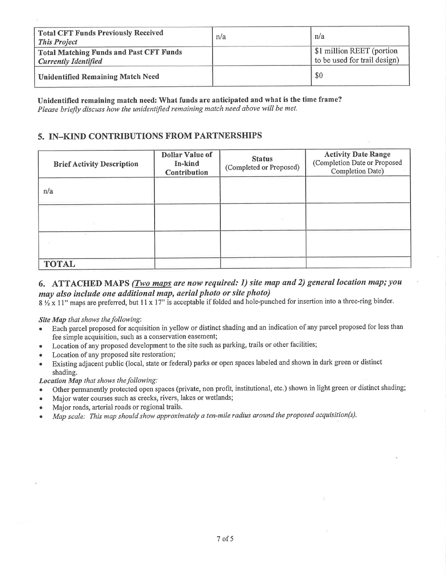| <b>Total CFT Funds Previously Received</b><br><b>This Project</b>             | n/a | n/a                                                       |
|-------------------------------------------------------------------------------|-----|-----------------------------------------------------------|
| <b>Total Matching Funds and Past CFT Funds</b><br><b>Currently Identified</b> |     | \$1 million REET (portion<br>to be used for trail design) |
| <b>Unidentified Remaining Match Need</b>                                      |     | \$0                                                       |

Unidentified remaining match need: What funds are anticipated and what is the time frame? Please briefly discuss how the unidentified remaining match need above will be met.

## 5. IN–KIND CONTRIBUTIONS FROM PARTNERSHIPS

| <b>Brief Activity Description</b> | <b>Dollar Value of</b><br>In-kind<br><b>Contribution</b> | <b>Status</b><br>(Completed or Proposed) | <b>Activity Date Range</b><br>(Completion Date or Proposed<br>Completion Date) |
|-----------------------------------|----------------------------------------------------------|------------------------------------------|--------------------------------------------------------------------------------|
| n/a                               |                                                          |                                          |                                                                                |
|                                   |                                                          |                                          |                                                                                |
|                                   |                                                          |                                          |                                                                                |
| <b>TOTAL</b>                      |                                                          |                                          |                                                                                |

## 6. ATTACHED MAPS (*Two maps are now required: 1) site map and 2) general location map; you* may also include one additional map, aerial photo or site photo)

8 1/2 x 11" maps are preferred, but 11 x 17" is acceptable if folded and hole-punched for insertion into a three-ring binder.

Site Map that shows the following:

- Each parcel proposed for acquisition in yellow or distinct shading and an indication of any parcel proposed for less than  $\bullet$ fee simple acquisition, such as a conservation easement;
- Location of any proposed development to the site such as parking, trails or other facilities;
- Location of any proposed site restoration;
- Existing adjacent public (local, state or federal) parks or open spaces labeled and shown in dark green or distinct shading.

#### Location Map that shows the following:

- Other permanently protected open spaces (private, non profit, institutional, etc.) shown in light green or distinct shading;
- Major water courses such as creeks, rivers, lakes or wetlands;
- Major roads, arterial roads or regional trails.
- Map scale: This map should show approximately a ten-mile radius around the proposed acquisition(s).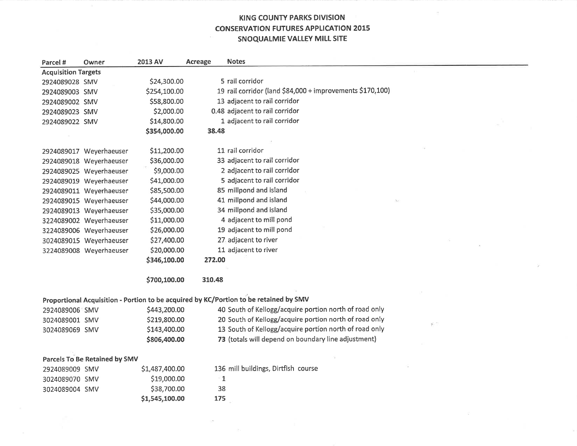## KING COUNTY PARKS DIVISION CONSERVATION FUTURES APPLICATION 2015 SNOQUALMIE VALLEY MILL SITE

| Parcel #                   | Owner                         | 2013 AV        | Acreage      | <b>Notes</b>                                                                          |
|----------------------------|-------------------------------|----------------|--------------|---------------------------------------------------------------------------------------|
| <b>Acquisition Targets</b> |                               |                |              |                                                                                       |
| 2924089028 SMV             |                               | \$24,300.00    |              | 5 rail corridor                                                                       |
| 2924089003 SMV             |                               | \$254,100.00   |              | 19 rail corridor (land \$84,000 + improvements \$170,100)                             |
| 2924089002 SMV             |                               | \$58,800.00    |              | 13 adjacent to rail corridor                                                          |
| 2924089023 SMV             |                               | \$2,000.00     |              | 0.48 adjacent to rail corridor                                                        |
| 2924089022 SMV             |                               | \$14,800.00    |              | 1 adjacent to rail corridor                                                           |
|                            |                               | \$354,000.00   | 38.48        |                                                                                       |
|                            |                               |                |              |                                                                                       |
|                            | 2924089017 Weyerhaeuser       | \$11,200.00    |              | 11 rail corridor                                                                      |
|                            | 2924089018 Weyerhaeuser       | \$36,000.00    |              | 33 adjacent to rail corridor                                                          |
|                            | 2924089025 Weyerhaeuser       | \$9,000.00     |              | 2 adjacent to rail corridor                                                           |
|                            | 2924089019 Weyerhaeuser       | \$41,000.00    |              | 5 adjacent to rail corridor                                                           |
|                            | 2924089011 Weyerhaeuser       | \$85,500.00    |              | 85 millpond and island                                                                |
|                            | 2924089015 Weyerhaeuser       | \$44,000.00    |              | 41 millpond and island                                                                |
|                            | 2924089013 Weyerhaeuser       | \$35,000.00    |              | 34 millpond and island                                                                |
|                            | 3224089002 Weyerhaeuser       | \$11,000.00    |              | 4 adjacent to mill pond                                                               |
|                            | 3224089006 Weyerhaeuser       | \$26,000.00    |              | 19 adjacent to mill pond                                                              |
|                            | 3024089015 Weyerhaeuser       | \$27,400.00    |              | 27 adjacent to river                                                                  |
|                            | 3224089008 Weyerhaeuser       | \$20,000.00    |              | 11 adjacent to river                                                                  |
|                            |                               | \$346,100.00   | 272.00       |                                                                                       |
|                            |                               | \$700,100.00   | 310.48       |                                                                                       |
|                            |                               |                |              |                                                                                       |
|                            |                               |                |              | Proportional Acquisition - Portion to be acquired by KC/Portion to be retained by SMV |
| 2924089006 SMV             |                               | \$443,200.00   |              | 40 South of Kellogg/acquire portion north of road only                                |
| 3024089001 SMV             |                               | \$219,800.00   |              | 20 South of Kellogg/acquire portion north of road only<br>÷                           |
| 3024089069 SMV             |                               | \$143,400.00   |              | 13 South of Kellogg/acquire portion north of road only                                |
|                            |                               | \$806,400.00   |              | 73 (totals will depend on boundary line adjustment)                                   |
|                            |                               |                |              |                                                                                       |
|                            | Parcels To Be Retained by SMV |                |              |                                                                                       |
| 2924089009 SMV             |                               | \$1,487,400.00 |              | 136 mill buildings, Dirtfish course                                                   |
| 3024089070 SMV             |                               | \$19,000.00    | $\mathbf{1}$ |                                                                                       |
| 3024089004 SMV             |                               | \$38,700.00    | 38           |                                                                                       |
|                            |                               | \$1,545,100.00 | 175          |                                                                                       |